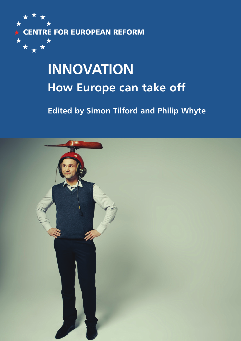

## **INNOVATION How Europe can take off**

**Edited by Simon Tilford and Philip Whyte**

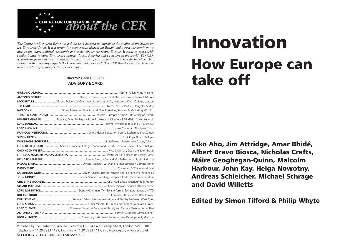

*The Centre for European Reform is a think-tank devoted to improving the quality of the debate on the European Union. It is a forum for people with ideas from Britain and across the continent to discuss the many political, economic and social challenges facing Europe. It seeks to work with similar bodies in other European countries, North America and elsewhere in the world. The CER is pro-European but not uncritical. It regards European integration as largely beneficial but recognises that in many respects the Union does not work well. The CER therefore aims to promote new ideas for reforming the European Union.*

#### **Director:** CHARLES GRANT **ADVISORY BOARD**

| NICK BUTLER  Visiting Fellow and Chairman of the Kings Policy Institute at Kings College, London     |
|------------------------------------------------------------------------------------------------------|
|                                                                                                      |
|                                                                                                      |
|                                                                                                      |
| HEATHER GRABBE  Director, Open Society Institute, Brussels and Director of EU affairs, Soros Network |
|                                                                                                      |
|                                                                                                      |
|                                                                                                      |
|                                                                                                      |
|                                                                                                      |
| LORD KERR (CHAIR)  Chairman, Imperial College London and Deputy Chairman, Royal Dutch Shell plc      |
|                                                                                                      |
|                                                                                                      |
|                                                                                                      |
|                                                                                                      |
|                                                                                                      |
|                                                                                                      |
|                                                                                                      |
|                                                                                                      |
|                                                                                                      |
|                                                                                                      |
|                                                                                                      |
|                                                                                                      |
|                                                                                                      |
|                                                                                                      |
|                                                                                                      |
|                                                                                                      |
|                                                                                                      |

Published by the Centre for European Reform (CER), 14 Great College Street, London, SW1P 3RX Telephone +44 20 7233 1199, Facsimile +44 20 7233 1117, info@cer.org.uk, www.cer.org.uk **© CER JULY 2011** ★ **ISBN 978 1 901229 99 8**

## Innovation How Europe can take off

Esko Aho, Jim Attridge, Amar Bhidé, Albert Bravo Biosca, Nicholas Crafts, Máire Geoghegan-Quinn, Malcolm Harbour, John Kay, Helga Nowotny, Andreas Schleicher, Michael Schrage and David Willetts

### Edited by Simon Tilford & Philip Whyte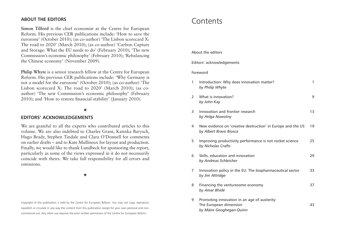#### **ABOUT THE EDITORS**

**Simon Tilford** is the chief economist at the Centre for European Reform. His previous CER publications include: 'How to save the eurozone' (October 2010); (as co-author) 'The Lisbon scorecard X: The road to 2020' (March 2010); (as co-author) 'Carbon Capture and Storage: What the EU needs to do' (February 2010); 'The new Commission's economic philosophy' (February 2010); 'Rebalancing the Chinese economy' (November 2009).

**Philip Whyte** is a senior research fellow at the Centre for European Reform. His previous CER publications include: 'Why Germany is not a model for the eurozone' (October 2010); (as co-author) 'The Lisbon scorecard X: The road to 2020' (March 2010); (as coauthor) 'The new Commission's economic philosophy' (February 2010); and 'How to restore financial stability' (January 2010).

#### ★

#### **EDITORS' ACKNOWLEDGEMENTS**

We are grateful to all the experts who contributed articles to this volume. We are also indebted to Charles Grant, Katinka Barysch, Hugo Brady, Stephen Tindale and Clara O'Donnell for comments on earlier drafts – and to Kate Mullineux for layout and production. Finally, we would like to thank Lundbeck for sponsoring the report, particularly as some of the views expressed in it do not necessarily coincide with theirs. We take full responsibility for all errors and omissions.

★

Copyright of this publication is held by the Centre for European Reform. You may not copy, reproduce, republish or circulate in any way the content from this publication except for your own personal and noncommercial use. Any other use requires the prior written permission of the Centre for European Reform.

## **Contents**

#### About the editors

#### Editors' acknowledgements

#### Foreword

| 1 | Introduction: Why does innovation matter?<br>by Philip Whyte                                       | 1  |
|---|----------------------------------------------------------------------------------------------------|----|
| 2 | What is innovation?<br>by John Kay                                                                 | 9  |
| 3 | Innovation and frontier research<br>by Helga Nowotny                                               | 13 |
| 4 | New evidence on 'creative destruction' in Europe and the US<br>by Albert Bravo Biosca              | 19 |
| 5 | Improving productivity performance is not rocket science<br>by Nicholas Crafts                     | 25 |
| 6 | Skills, education and innovation<br>by Andreas Schleicher                                          | 29 |
| 7 | Innovation policy in the EU: The biopharmaceutical sector<br>by Jim Attridge                       | 33 |
| 8 | Financing the venturesome economy<br>by Amar Bhidé                                                 | 37 |
| 9 | Promoting innovation in an age of austerity:<br>The European dimension<br>by Máire Geoghegan-Quinn | 43 |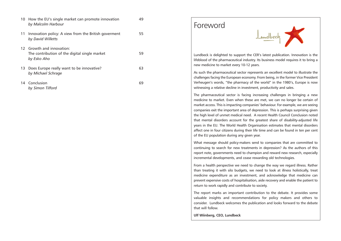|    | 10 How the EU's single market can promote innovation<br>by Malcolm Harbour                | 49 |
|----|-------------------------------------------------------------------------------------------|----|
| 11 | Innovation policy: A view from the British goverment<br>by David Willetts                 | 55 |
|    | 12 Growth and innovation:<br>The contribution of the digital single market<br>by Esko Aho | 59 |
|    | 13 Does Europe really want to be innovative?<br>by Michael Schrage                        | 63 |
|    | 14 Conclusion<br>by Simon Tilford                                                         | 69 |



medicine to market. Even when these are met, we can no longer be certain of market access. This is impacting companies' behaviour. For example, we are seeing companies exit the important area of depression. This is perhaps surprising given the high level of unmet medical need. A recent Health Council Conclusion noted that mental disorders account for the greatest share of disability-adjusted life years in the EU. The World Health Organisation estimates that mental disorders affect one in four citizens during their life time and can be found in ten per cent of the EU population during any given year.

What message should policy-makers send to companies that are committed to continuing to search for new treatments in depression? As the authors of this report note, governments need to champion and reward new research, especially incremental developments, and cease rewarding old technologies.

From a health perspective we need to change the way we regard illness. Rather than treating it with silo budgets, we need to look at illness holistically, treat medicine expenditure as an investment, and acknowledge that medicine can prevent expensive costs of hospitalisation, aide recovery and enable the patient to return to work rapidly and contribute to society.

The report marks an important contribution to the debate. It provides some valuable insights and recommendations for policy makers and others to consider. Lundbeck welcomes the publication and looks forward to the debate that will follow.

**Ulf Wiinberg, CEO, Lundbeck**

Foreword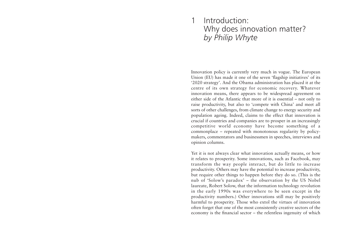## 1 Introduction: Why does innovation matter? *by Philip Whyte*

Innovation policy is currently very much in vogue. The European Union (EU) has made it one of the seven 'flagship initiatives' of its '2020 strategy'. And the Obama administration has placed it at the centre of its own strategy for economic recovery. Whatever innovation means, there appears to be widespread agreement on either side of the Atlantic that more of it is essential – not only to raise productivity, but also to 'compete with China' and meet all sorts of other challenges, from climate change to energy security and population ageing. Indeed, claims to the effect that innovation is crucial if countries and companies are to prosper in an increasingly competitive world economy have become something of a commonplace – repeated with monotonous regularity by policymakers, commentators and businessmen in speeches, interviews and opinion columns.

Yet it is not always clear what innovation actually means, or how it relates to prosperity. Some innovations, such as Facebook, may transform the way people interact, but do little to increase productivity. Others may have the potential to increase productivity, but require other things to happen before they do so. (This is the nub of 'Solow's paradox' – the observation by the US Nobel laureate, Robert Solow, that the information technology revolution in the early 1990s was everywhere to be seen except in the productivity numbers.) Other innovations still may be positively harmful to prosperity. Those who extol the virtues of innovation often forget that one of the most consistently creative sectors of the economy is the financial sector – the relentless ingenuity of which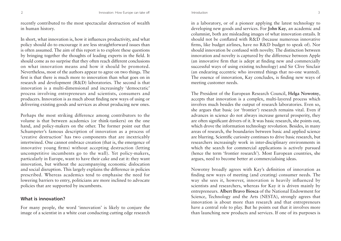recently contributed to the most spectacular destruction of wealth in human history.

In short, what innovation is, how it influences productivity, and what policy should do to encourage it are less straightforward issues than is often assumed. The aim of this report is to explore these questions by bringing together the thoughts of leading experts in the field. It should come as no surprise that they often reach different conclusions on what innovation means and how it should be promoted. Nevertheless, most of the authors appear to agree on two things. The first is that there is much more to innovation than what goes on in research and development (R&D) laboratories. The second is that innovation is a multi-dimensional and increasingly 'democratic' process involving entrepreneurs and scientists, consumers and producers. Innovation is as much about finding new ways of using or delivering existing goods and services as about producing new ones.

Perhaps the most striking difference among contributors to the volume is that between academics (or think-tankers) on the one hand, and policy-makers on the other. The former point out that Schumpeter's famous description of innovation as a process of 'creative destruction' has two components that are inextricably intertwined. One cannot embrace creation (that is, the emergence of innovative young firms) without accepting destruction (letting uncompetitive incumbents go to the wall). Yet policy-makers, particularly in Europe, want to have their cake and eat it: they want innovation, but without the accompanying economic dislocation and social disruption. This largely explains the difference in policies prescribed. Whereas academics tend to emphasise the need for lowering barriers to entry, politicians are more inclined to advocate policies that are supported by incumbents.

#### **What is innovation?**

For many people, the word 'innovation' is likely to conjure the image of a scientist in a white coat conducting cutting edge research in a laboratory, or of a pioneer applying the latest technology to developing new goods and services. For **John Kay**, an academic and columnist, both are misleading images of what innovation entails. It should not be conflated with R&D (because numerous innovative firms, like budget airlines, have no R&D budget to speak of). Nor should innovation be confused with novelty. The distinction between innovation and novelty is captured by the difference between Apple (an innovative firm that is adept at finding new and commercially successful ways of using existing technology) and Sir Clive Sinclair (an endearing eccentric who invented things that no-one wanted). The essence of innovation, Kay concludes, is finding new ways of meeting customer needs.

The President of the European Research Council, **Helga Nowotny**, accepts that innovation is a complex, multi-layered process which involves much besides the output of research laboratories. Even so, she argues that basic (or 'frontier') research remains vital. Even if advances in science do not always increase general prosperity, they are often significant drivers of it. It was basic research, she points out, which drove the information technology revolution. Besides, in many areas of research, the boundaries between basic and applied science are blurring. Scientific curiosity continues to drive basic research, but researchers increasingly work in inter-disciplinary environments in which the search for commercial applications is actively pursued (hence the term 'frontier research'). Most European countries, she argues, need to become better at commercialising ideas.

Nowotny broadly agrees with Kay's definition of innovation as finding new ways of meeting (and creating) consumer needs. The way she sees it, however, innovation is heavily influenced by scientists and researchers, whereas for Kay it is driven mainly by entrepreneurs. **Albert Bravo Biosca** of the National Endowment for Science, Technology and the Arts (NESTA), strongly agrees that innovation is about more than research and that entrepreneurs have a central role to play. But he points out that it involves more than launching new products and services. If one of its purposes is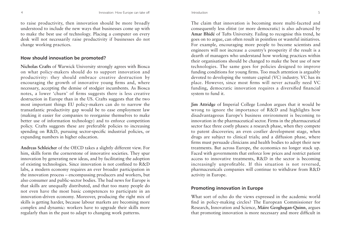to raise productivity, then innovation should be more broadly understood to include the new ways that businesses come up with to make the best use of technology. Placing a computer on every desk will not necessarily raise productivity if businesses do not change working practices.

#### **How should innovation be promoted?**

**Nicholas Crafts** of Warwick University strongly agrees with Biosca on what policy-makers should do to support innovation and productivity: they should embrace creative destruction by encouraging the growth of innovative young firms and, where necessary, accepting the demise of stodgier incumbents. As Biosca notes, a lower 'churn' of firms suggests there is less creative destruction in Europe than in the US. Crafts suggests that the two most important things EU policy-makers can do to narrow the transatlantic productivity gap would be to ease employment law (making it easier for companies to reorganise themselves to make better use of information technology) and to enforce competition policy. Crafts suggests these are preferable policies to increasing spending on R&D, pursuing sector-specific industrial policies, or expanding numbers in higher education.

**Andreas Schleicher** of the OECD takes a slightly different view. For him, skills form the cornerstone of innovative societies. They spur innovation by generating new ideas, and by facilitating the adoption of existing technologies. Since innovation is not confined to R&D labs, a modern economy requires an ever broader participation in the innovation process – encompassing producers and workers, but also consumer and public-sector bodies. The bad news for Europe is that skills are unequally distributed, and that too many people do not even have the most basic competences to participate in an innovation-driven economy. Moreover, producing the right mix of skills is getting harder, because labour markets are becoming more complex and dynamic: workers have to upgrade their skills more regularly than in the past to adapt to changing work patterns.

The claim that innovation is becoming more multi-faceted and consequently less elitist (or more democratic) is also advanced by **Amar Bhidé** of Tufts University. Failing to recognise this trend, he goes on to argue, can often result in pointless or wasteful initiatives. For example, encouraging more people to become scientists and engineers will not increase a country's prosperity if the result is a dearth of managers who understand how working practices within their organisations should be changed to make the best use of new technologies. The same goes for policies designed to improve funding conditions for young firms. Too much attention is arguably devoted to developing the venture capital (VC) industry. VC has its place. However, since most firms will never actually need VC funding, democratic innovation requires a diversified financial system to fund it.

**Jim Attridge** of Imperial College London argues that it would be wrong to ignore the importance of R&D and highlights how disadvantageous Europe's business environment is becoming to innovation in the pharmaceutical sector. Firms in the pharmaceutical sector face three costly phases: a research phase, when they compete to patent discoveries; an even costlier development stage, when drugs are subject to clinical trials; and a diffusion phase, where firms must persuade clinicians and health bodies to adopt their new treatments. But across Europe, the economics no longer stack up. Faced with governments that enforce low prices and restrict patient access to innovative treatments, R&D in the sector is becoming increasingly unprofitable. If this situation is not reversed, pharmaceuticals companies will continue to withdraw from R&D activity in Europe.

#### **Promoting innovation in Europe**

What sort of echo do the views expressed in the academic world find in policy-making circles? The European Commissioner for Research, Innovation and Science, **Máire Geoghegan-Quinn**, argues that promoting innovation is more necessary and more difficult in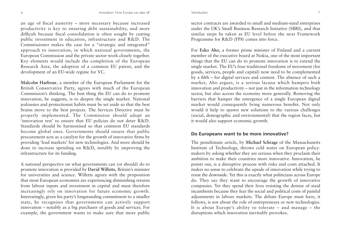an age of fiscal austerity – more necessary because increased productivity is key to ensuring debt sustainability, and more difficult because fiscal consolidation is often sought by cutting public investment in education, infrastructure and R&D. The Commissioner makes the case for a "strategic and integrated" approach to innovation, in which national governments, the European Commission and the private sector work closely together. Key elements would include the completion of the European Research Area, the adoption of a common EU patent, and the development of an EU-wide regime for VC.

**Malcolm Harbour**, a member of the European Parliament for the British Conservative Party, agrees with much of the European Commission's thinking. The best thing the EU can do to promote innovation, he suggests, is to deepen the single market. National jealousies and protectionist habits must be set aside so that the best brains move to the best projects. The Services Directive must be properly implemented. The Commission should adopt an 'innovation test' to ensure that EU policies do not deter R&D. Standards should be harmonised so that common EU standards become global ones. Governments should ensure that public procurement acts as a catalyst for the growth of innovative firms by providing 'lead markets' for new technologies. And more should be done to increase spending on R&D, notably by improving the infrastructure for its funding.

A national perspective on what governments can (or should) do to promote innovation is provided by **David Willetts**, Britain's minister for universities and science. Willetts agrees with the proposition that most European economies are experiencing diminishing returns from labour inputs and investment in capital and must therefore increasingly rely on innovation for future economic growth. Interestingly, given his party's longstanding commitment to a smaller state, he recognises that governments can actively support innovation – notably as a big purchaser of goods and services. For example, the government wants to make sure that more public sector contracts are awarded to small and medium-sized enterprises under the UK's Small Business Research Initiative (SBRI), and that similar steps be taken at EU level before the next Framework Programme for R&D (FP8) comes into force.

For **Esko Aho**, a former prime minister of Finland and a current member of the executive board at Nokia, one of the most important things that the EU can do to promote innovation is to extend the single market. The EU's four traditional freedoms of movement (for goods, services, people and capital) now need to be complemented by a fifth – for digital services and content. The absence of such a market, Aho argues, is a serious lacuna which hampers both innovation and productivity – not just in the information technology sector, but also across the economy more generally. Removing the barriers that hamper the emergence of a single European digital market would consequently bring numerous benefits. Not only would it help to spawn new solutions to the various challenges (social, demographic and environmental) that the region faces, but it would also support economic growth.

#### **Do Europeans want to be more innovative?**

The penultimate article, by **Michael Schrage** of the Massachusetts Institute of Technology, throws cold water on European policymakers by asking whether they are serious when they proclaim their ambition to make their countries more innovative. Innovation, he points out, is a disruptive process with risks and costs attached. It makes no sense to celebrate the upside of innovation while trying to resist the downside. Yet this is exactly what politicians across Europe do. They say they want to encourage the growth of innovative companies. Yet they spend their lives resisting the demise of staid incumbents because they fear the social and political costs of painful adjustments in labour markets. The debate Europe must have, it follows, is not about the role of entrepreneurs or new technologies. It is about Europe's ability to tolerate – and manage – the disruptions which innovation inevitably provokes.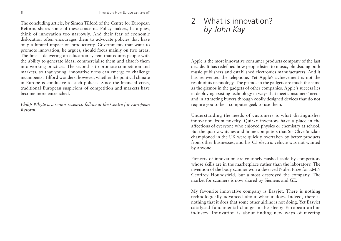The concluding article, by **Simon Tilford** of the Centre for European Reform, shares some of these concerns. Policy-makers, he argues, think of innovation too narrowly. And their fear of economic dislocation often encourages them to advocate policies that have only a limited impact on productivity. Governments that want to promote innovation, he argues, should focus mainly on two areas. The first is delivering an education system that equips people with the ability to generate ideas, commercialise them and absorb them into working practices. The second is to promote competition and markets, so that young, innovative firms can emerge to challenge incumbents. Tilford wonders, however, whether the political climate in Europe is conducive to such policies. Since the financial crisis, traditional European suspicions of competition and markets have become more entrenched.

*Philip Whyte is a senior research fellow at the Centre for European Reform.*

## 2 What is innovation? *by John Kay*

Apple is the most innovative consumer products company of the last decade. It has redefined how people listen to music, blindsiding both music publishers and established electronics manufacturers. And it has reinvented the telephone. Yet Apple's achievement is not the result of its technology. The gizmos in the gadgets are much the same as the gizmos in the gadgets of other companies. Apple's success lies in deploying existing technology in ways that meet consumers' needs and in attracting buyers through coolly designed devices that do not require you to be a computer geek to use them.

Understanding the needs of customers is what distinguishes innovation from novelty. Quirky inventors have a place in the affections of everyone who enjoyed physics or chemistry at school. But the quartz watches and home computers that Sir Clive Sinclair championed in the UK were quickly overtaken by better products from other businesses, and his C5 electric vehicle was not wanted by anyone.

Pioneers of innovation are routinely pushed aside by competitors whose skills are in the marketplace rather than the laboratory. The invention of the body scanner won a deserved Nobel Prize for EMI's Geoffrey Houndsfield, but almost destroyed the company. The market for scanners is now shared by Siemens and GE.

My favourite innovative company is Easyjet. There is nothing technologically advanced about what it does. Indeed, there is nothing that it does that some other airline is not doing. Yet Easyjet catalysed fundamental change in the sleepy European airline industry. Innovation is about finding new ways of meeting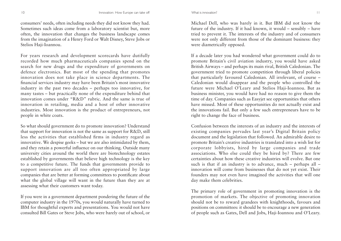consumers' needs, often including needs they did not know they had. Sometimes such ideas come from a laboratory scientist but, more often, the innovation that changes the business landscape comes from the imagination of a Henry Ford or Walt Disney, Steve Jobs or Stelios Haji-Ioannou.

For years research and development scorecards have dutifully recorded how much pharmaceuticals companies spend on the search for new drugs and the expenditure of governments on defence electronics. But most of the spending that promotes innovation does not take place in science departments. The financial services industry may have been Britain's most innovative industry in the past two decades – perhaps too innovative, for many tastes – but practically none of the expenditure behind that innovation comes under "R&D" rubric. And the same is true of innovation in retailing, media and a host of other innovative industries. Most innovation is the product of entrepreneurs, not people in white coats.

So what should government do to promote innovation? Understand that support for innovation is not the same as support for R&D, still less the activities that established firms in industry regard as innovative. We despise geeks – but we are also intimidated by them, and they retain a powerful influence on our thinking. Outside many university cities around the world there are biotechnology estates established by governments that believe high technology is the key to a competitive future. The funds that governments provide to support innovation are all too often appropriated by large companies that are better at forming committees to pontificate about what the global village will want in the future than they are at assessing what their customers want today.

If you were in a government department pondering the future of the computer industry in the 1970s, you would naturally have turned to IBM for thoughtful experts and presentations. You would not have consulted Bill Gates or Steve Jobs, who were barely out of school, or Michael Dell, who was barely in it. But IBM did not know the future of the industry. If it had known, it would – sensibly – have tried to prevent it. The interests of the industry and of consumers were not only different from those of the dominant business: they were diametrically opposed.

If a decade later you had wondered what government could do to promote Britain's civil aviation industry, you would have asked British Airways – and perhaps its main rival, British Caledonian. The government tried to promote competition through liberal policies that particularly favoured Caledonian. All irrelevant, of course – Caledonian would disappear and the people who controlled the future were Michael O'Leary and Stelios Haji-Ioannou. But as business minister, you would have had no reason to give them the time of day. Companies such as Easyjet see opportunities that others have missed. Most of these opportunities do not actually exist and the innovations fail. But only a few such entrepreneurs have to be right to change the face of business.

Confusion between the interests of an industry and the interests of existing companies pervades last year's Digital Britain policy document and the legislation that followed. An admirable desire to promote Britain's creative industries is translated into a wish list for corporate lobbyists, hired by large companies and trade associations. Who else could they be hired by? There are few certainties about how these creative industries will evolve. But one such is that if an industry is to advance, much – perhaps all – innovation will come from businesses that do not yet exist. Their founders may not even have imagined the activities that will one day make them celebrities.

The primary role of government in promoting innovation is the promotion of markets. The objective of promoting innovation should not be to reward grandees with knighthoods, favours and positions on committees: it should be to encourage a new generation of people such as Gates, Dell and Jobs, Haji-Ioannou and O'Leary.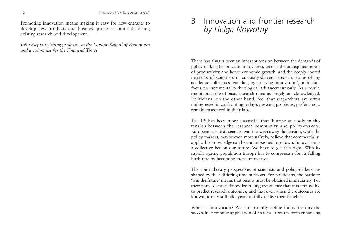Promoting innovation means making it easy for new entrants to develop new products and business processes, not subsidising existing research and development.

*John Kay is a visiting professor at the London School of Economics and a columnist for the Financial Times.*

## 3 Innovation and frontier research *by Helga Nowotny*

There has always been an inherent tension between the demands of policy-makers for practical innovation, seen as the undisputed motor of productivity and hence economic growth, and the deeply-rooted interests of scientists in curiosity-driven research. Some of my academic colleagues fear that, by stressing 'innovation', politicians focus on incremental technological advancement only. As a result, the pivotal role of basic research remains largely unacknowledged. Politicians, on the other hand, feel that researchers are often uninterested in confronting today's pressing problems, preferring to remain ensconced in their labs.

The US has been more successful than Europe at resolving this tension between the research community and policy-makers. European scientists seem to want to wish away the tension, while the policy-makers, maybe even more naïvely, believe that commerciallyapplicable knowledge can be commissioned top-down. Innovation is a collective bet on our future. We have to get this right. With its rapidly ageing population Europe has to compensate for its falling birth rate by becoming more innovative.

The contradictory perspectives of scientists and policy-makers are shaped by their differing time horizons. For politicians, the battle to 'win the future' means that results must be obtained immediately. For their part, scientists know from long experience that it is impossible to predict research outcomes, and that even when the outcomes are known, it may still take years to fully realise their benefits.

What is innovation? We can broadly define innovation as the successful economic application of an idea. It results from enhancing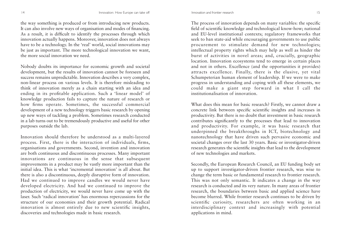the way something is produced or from introducing new products. It can also involve new ways of organisation and modes of financing. As a result, it is difficult to identify the processes through which innovation actually happens. Moreover, innovation does not always have to be a technology. In the 'real' world, social innovations may be just as important. The more technological innovation we want, the more social innovation we need.

Nobody doubts its importance for economic growth and societal development, but the results of innovation cannot be foreseen and success remains unpredictable. Innovation describes a very complex, non-linear process on various levels. It is therefore misleading to think of innovation merely as a chain starting with an idea and ending in its profitable application. Such a 'linear model' of knowledge production fails to capture the nature of research or how firms operate. Sometimes, the successful commercial development of a new technology triggers basic research by opening up new ways of tackling a problem. Sometimes research conducted in a lab turns out to be tremendously productive and useful for other purposes outside the lab.

Innovation should therefore be understood as a multi-layered process. First, there is the interaction of individuals, firms, organisations and governments. Second, invention and innovation are both continuous and discontinuous processes. Many important innovations are continuous in the sense that subsequent improvements in a product may be vastly more important than the initial idea. This is what 'incremental innovation' is all about. But there is also a discontinuous, deeply disruptive form of innovation. Had we continued to improve candles we would never have developed electricity. And had we continued to improve the production of electricity, we would never have come up with the laser. Such 'radical innovation' has enormous repercussions for the structure of our economies and their growth potential. Radical innovation is almost entirely due to new scientific insights, discoveries and technologies made in basic research.

The process of innovation depends on many variables: the specific field of scientific knowledge and technological know-how; national and EU-level institutional contexts; regulatory frameworks that seek to ban state-aid while encouraging governments to use public procurement to stimulate demand for new technologies; intellectual property rights which may help as well as hinder the burst of activities in novel areas; and, crucially, geographic location. Innovation ecosystems tend to emerge in certain places and not in others. Excellence (and the opportunities it provides) attracts excellence. Finally, there is the elusive, yet vital Schumpeterian human element of leadership. If we were to make progress in understanding and coping with all these elements, we could make a giant step forward in what I call the institutionalisation of innovation.

What does this mean for basic research? Firstly, we cannot draw a concrete link between specific scientific insights and increases in productivity. But there is no doubt that investment in basic research contributes significantly to the processes that lead to innovation and productivity. For example, it was basic research that underpinned the breakthroughs in ICT, biotechnology and nanotechnology that have driven such pervasive economic and societal changes over the last 30 years. Basic or investigator-driven research generates the scientific insights that lead to the development of new technologies and markets.

Secondly, the European Research Council, an EU funding body set up to support investigator-driven frontier research, was wise to change the term basic or fundamental research to frontier research. This was not only semantic. It indicates a change in the way research is conducted and its very nature. In many areas of frontier research, the boundaries between basic and applied science have become blurred. While frontier research continues to be driven by scientific curiosity, researchers are often working in an interdisciplinary context and increasingly with potential applications in mind.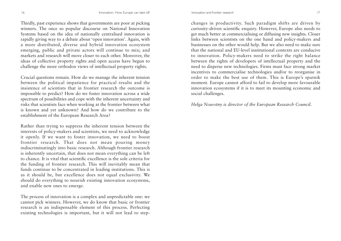Thirdly, past experience shows that governments are poor at picking winners. The once so popular discourse on National Innovation Systems based on the idea of nationally centralised innovation is rapidly giving way to a debate about 'open innovation'. Again, with a more distributed, diverse and hybrid innovation ecosystem emerging, public and private actors will continue to mix; and markets and research will move closer to each other. Moreover, the ideas of collective property rights and open access have begun to challenge the more orthodox views of intellectual property rights.

Crucial questions remain. How do we manage the inherent tension between the political impatience for practical results and the insistence of scientists that in frontier research the outcome is impossible to predict? How do we foster innovation across a wide spectrum of possibilities and cope with the inherent uncertainty and risks that scientists face when working at the frontier between what is known and yet unknown? And how do we contribute to the establishment of the European Research Area?

Rather than trying to suppress the inherent tension between the interests of policy-makers and scientists, we need to acknowledge it openly. If we want to foster innovation, we need to boost frontier research. That does not mean pouring money indiscriminatingly into basic research. Although frontier research is inherently uncertain, that does not mean everything can be left to chance. It is vital that scientific excellence is the sole criteria for the funding of frontier research. This will inevitably mean that funds continue to be concentrated in leading institutions. This is as it should be, but excellence does not equal exclusivity. We should do everything to nourish existing innovation ecosystems, and enable new ones to emerge.

The process of innovation is a complex and unpredictable one: we cannot pick winners. However, we do know that basic or frontier research is an indispensable element of this process. Perfecting existing technologies is important, but it will not lead to stepchanges in productivity. Such paradigm shifts are driven by curiosity-driven scientific enquiry. However, Europe also needs to get much better at commercialising or diffusing new insights. Closer links between scientists on the one hand and policy-makers and businesses on the other would help. But we also need to make sure that the national and EU-level institutional contexts are conducive to innovation. Policy-makers need to strike the right balance between the rights of developers of intellectual property and the need to disperse new technologies. Firms must face strong market incentives to commercialise technologies and/or to reorganise in order to make the best use of them. This is Europe's sputnik moment. Europe cannot afford to fail to develop more favourable innovation ecosystems if it is to meet its mounting economic and social challenges.

#### *Helga Nowotny is director of the European Research Council.*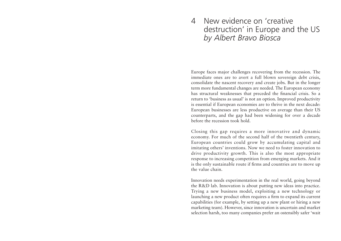## 4 New evidence on 'creative destruction' in Europe and the US *by Albert Bravo Biosca*

Europe faces major challenges recovering from the recession. The immediate ones are to avert a full blown sovereign debt crisis, consolidate the nascent recovery and create jobs. But in the longer term more fundamental changes are needed. The European economy has structural weaknesses that preceded the financial crisis. So a return to 'business as usual' is not an option. Improved productivity is essential if European economies are to thrive in the next decade: European businesses are less productive on average than their US counterparts, and the gap had been widening for over a decade before the recession took hold.

Closing this gap requires a more innovative and dynamic economy. For much of the second half of the twentieth century, European countries could grow by accumulating capital and imitating others' inventions. Now we need to foster innovation to drive productivity growth. This is also the most appropriate response to increasing competition from emerging markets. And it is the only sustainable route if firms and countries are to move up the value chain.

Innovation needs experimentation in the real world, going beyond the R&D lab. Innovation is about putting new ideas into practice. Trying a new business model, exploiting a new technology or launching a new product often requires a firm to expand its current capabilities (for example, by setting up a new plant or hiring a new marketing team). However, since innovation is uncertain and market selection harsh, too many companies prefer an ostensibly safer 'wait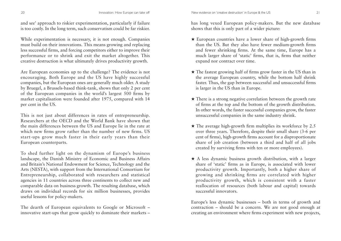and see' approach to riskier experimentation, particularly if failure is too costly. In the long term, such conservatism could be far riskier.

While experimentation is necessary, it is not enough. Companies must build on their innovations. This means growing and replacing less successful firms, and forcing competitors either to improve their performance or to shrink and exit the market altogether. This creative destruction is what ultimately drives productivity growth.

Are European economies up to the challenge? The evidence is not encouraging. Both Europe and the US have highly successful companies, but the European ones are generally much older. A study by Bruegel, a Brussels-based think-tank, shows that only 2 per cent of the European companies in the world's largest 500 firms by market capitalisation were founded after 1975, compared with 14 per cent in the US.

This is not just about differences in rates of entrepreneurship. Researchers at the OECD and the World Bank have shown that the main differences between the US and Europe lie in the rate at which new firms grow rather than the number of new firms. US start-ups grow much faster in their early years than their European counterparts.

To shed further light on the dynamism of Europe's business landscape, the Danish Ministry of Economic and Business Affairs and Britain's National Endowment for Science, Technology and the Arts (NESTA), with support from the International Consortium for Entrepreneurship, collaborated with researchers and statistical agencies in 11 countries across three continents to collect new and comparable data on business growth. The resulting database, which draws on individual records for six million businesses, provides useful lessons for policy-makers.

The dearth of European equivalents to Google or Microsoft – innovative start-ups that grow quickly to dominate their markets – has long vexed European policy-makers. But the new database shows that this is only part of a wider picture:

- $\star$  European countries have a lower share of high-growth firms than the US. But they also have fewer medium-growth firms and fewer shrinking firms. At the same time, Europe has a much larger share of 'static' firms, that is, firms that neither expand nor contract over time.
- $\star$  The fastest growing half of firms grow faster in the US than in the average European country, while the bottom half shrink faster. Thus, the gap between successful and unsuccessful firms is larger in the US than in Europe.
- $\star$  There is a strong negative correlation between the growth rate of firms at the top and the bottom of the growth distribution. In other words, the faster successful companies grow, the faster unsuccessful companies in the same industry shrink.
- $\star$  The average high-growth firm multiplies its workforce by 2.5 over three years. Therefore, despite their small share (3-6 per cent of firms), high-growth firms account for a disproportionate share of job creation (between a third and half of all jobs created by surviving firms with ten or more employees).
- $\star$  A less dynamic business growth distribution, with a larger share of 'static' firms as in Europe, is associated with lower productivity growth. Importantly, both a higher share of growing and shrinking firms are correlated with higher productivity growth, which is consistent with a faster reallocation of resources (both labour and capital) towards successful innovators.

Europe's less dynamic businesses – both in terms of growth and contraction – should be a concern. We are not good enough at creating an environment where firms experiment with new projects,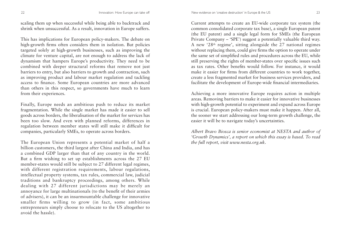scaling them up when successful while being able to backtrack and shrink when unsuccessful. As a result, innovation in Europe suffers.

This has implications for European policy-makers. The debate on high-growth firms often considers them in isolation. But policies targeted solely at high-growth businesses, such as improving the climate for venture capital, are not enough to address the lack of dynamism that hampers Europe's productivity. They need to be combined with deeper structural reforms that remove not just barriers to entry, but also barriers to growth and contraction, such as improving product and labour market regulation and tackling access to finance. Some European countries are more advanced than others in this respect, so governments have much to learn from their experiences.

Finally, Europe needs an ambitious push to reduce its market fragmentation. While the single market has made it easier to sell goods across borders, the liberalisation of the market for services has been too slow. And even with planned reforms, differences in regulation between member states will still make it difficult for companies, particularly SMEs, to operate across borders.

The European Union represents a potential market of half a billion customers, the third largest after China and India, and has a combined GDP larger than that of any country in the world. But a firm wishing to set up establishments across the 27 EU member-states would still be subject to 27 different legal regimes, with different registration requirements, labour regulations, intellectual property systems, tax rules, commercial law, judicial traditions and bankruptcy proceedings, among others. While dealing with 27 different jurisdictions may be merely an annoyance for large multinationals (to the benefit of their armies of advisers), it can be an insurmountable challenge for innovative smaller firms willing to grow (in fact, some ambitious entrepreneurs simply choose to relocate to the US altogether to avoid the hassle).

Current attempts to create an EU-wide corporate tax system (the common consolidated corporate tax base), a single European patent (the EU patent) and a single legal form for SMEs (the European Private Company – 'SPE') suggest a potentially valuable third way. A new '28th regime', sitting alongside the 27 national regimes without replacing them, could give firms the option to operate under the same set of simplified rules and procedures across the EU, while still preserving the rights of member-states over specific issues such as tax rates. Other benefits would follow. For instance, it would make it easier for firms from different countries to work together, create a less fragmented market for business services providers, and facilitate the development of Europe-wide financial intermediaries.

Achieving a more innovative Europe requires action in multiple areas. Removing barriers to make it easier for innovative businesses with high-growth potential to experiment and expand across Europe is crucial. European policy-makers must make it happen. After all, the sooner we start addressing our long-term growth challenge, the easier it will be to navigate today's uncertainties.

*Albert Bravo Biosca is senior economist at NESTA and author of 'Growth Dynamics', a report on which this essay is based. To read the full report, visit www.nesta.org.uk*.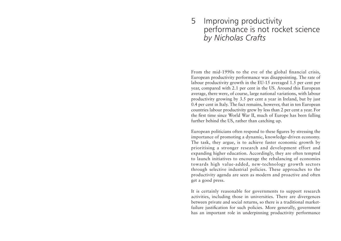## 5 Improving productivity performance is not rocket science *by Nicholas Crafts*

From the mid-1990s to the eve of the global financial crisis, European productivity performance was disappointing. The rate of labour productivity growth in the EU-15 averaged 1.5 per cent per year, compared with 2.1 per cent in the US. Around this European average, there were, of course, large national variations, with labour productivity growing by 3.5 per cent a year in Ireland, but by just 0.4 per cent in Italy. The fact remains, however, that in ten European countries labour productivity grew by less than 2 per cent a year. For the first time since World War II, much of Europe has been falling further behind the US, rather than catching up.

European politicians often respond to these figures by stressing the importance of promoting a dynamic, knowledge-driven economy. The task, they argue, is to achieve faster economic growth by prioritising a stronger research and development effort and expanding higher education. Accordingly, they are often tempted to launch initiatives to encourage the rebalancing of economies towards high value-added, new-technology growth sectors through selective industrial policies. These approaches to the productivity agenda are seen as modern and proactive and often get a good press.

It is certainly reasonable for governments to support research activities, including those in universities. There are divergences between private and social returns, so there is a traditional marketfailure justification for such policies. More generally, government has an important role in underpinning productivity performance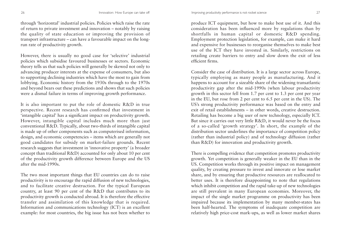through 'horizontal' industrial policies. Policies which raise the rate of return to private investment and innovation – notably by raising the quality of state education or improving the provision of transport infrastructure – can have a favourable impact on the longrun rate of productivity growth.

However, there is usually no good case for 'selective' industrial policies which subsidise favoured businesses or sectors. Economic theory tells us that such policies will generally be skewed not only to advancing producer interests at the expense of consumers, but also to supporting declining industries which have the most to gain from lobbying. Economic history from the 1930s through to the 1970s and beyond bears out these predictions and shows that such policies were a dismal failure in terms of improving growth performance.

It is also important to put the role of domestic R&D in true perspective. Recent research has confirmed that investment in 'intangible capital' has a significant impact on productivity growth. However, intangible capital includes much more than just conventional R&D. Typically, about two-thirds of intangible capital is made up of other components such as computerised information, design, and economic competencies – items which are generally not good candidates for subsidy on market-failure grounds. Recent research suggests that investment in 'innovative property' (a broader concept than traditional R&D) accounted for only about 10 per cent of the productivity growth difference between Europe and the US after the mid-1990s.

The two most important things that EU countries can do to raise productivity is to encourage the rapid diffusion of new technologies, and to facilitate creative destruction. For the typical European country, at least 90 per cent of the R&D that contributes to its productivity growth is conducted abroad. It is therefore the effective transfer and assimilation of this knowledge that is required. Information and communications technology (ICT) is an excellent example: for most countries, the big issue has not been whether to produce ICT equipment, but how to make best use of it. And this consideration has been influenced more by regulations than by shortfalls in human capital or domestic R&D spending. Employment protection legislation, for example, can make it hard and expensive for businesses to reorganise themselves to make best use of the ICT they have invested in. Similarly, restrictions on retailing create barriers to entry and slow down the exit of less efficient firms.

Consider the case of distribution. It is a large sector across Europe, typically employing as many people as manufacturing. And it happens to account for a sizeable share of the widening transatlantic productivity gap after the mid-1990s (when labour productivity growth in this sector fell from 1.7 per cent to 1.3 per cent per year in the EU, but rose from 2 per cent to 6.5 per cent in the US). The US's strong productivity performance was based on the entry and exit of retail establishments – in other words, creative destruction. Retailing has become a big user of new technology, especially ICT. But since it carries out very little R&D, it would never be the focus of a so-called 'growth strategy'. In short, the example of the distribution sector underlines the importance of competition policy (rather than industrial policy) and of technology diffusion (rather than R&D) for innovation and productivity growth.

There is compelling evidence that competition promotes productivity growth. Yet competition is generally weaker in the EU than in the US. Competition works through its positive impact on management quality, by creating pressure to invest and innovate or lose market share, and by ensuring that productive resources are reallocated to better uses. It is therefore disappointing to note that regulations which inhibit competition and the rapid take-up of new technologies are still prevalent in many European economies. Moreover, the impact of the single market programme on productivity has been impaired because its implementation by many member-states has been half-hearted. The symptoms of inadequate competition are relatively high price-cost mark-ups, as well as lower market shares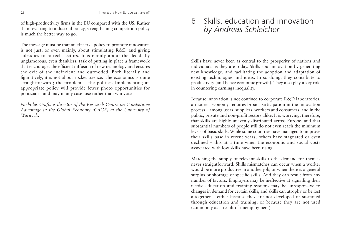of high-productivity firms in the EU compared with the US. Rather than reverting to industrial policy, strengthening competition policy is much the better way to go.

The message must be that an effective policy to promote innovation is not just, or even mainly, about stimulating R&D and giving subsidies to hi-tech sectors. It is mainly about the decidedly unglamorous, even thankless, task of putting in place a framework that encourages the efficient diffusion of new technology and ensures the exit of the inefficient and outmoded. Both literally and figuratively, it is not about rocket science. The economics is quite straightforward; the problem is the politics. Implementing an appropriate policy will provide fewer photo opportunities for politicians, and may in any case lose rather than win votes.

*Nicholas Crafts is director of the Research Centre on Competitive Advantage in the Global Economy (CAGE) at the University of Warwick*.

## 6 Skills, education and innovation *by Andreas Schleicher*

Skills have never been as central to the prosperity of nations and individuals as they are today. Skills spur innovation by generating new knowledge, and facilitating the adoption and adaptation of existing technologies and ideas. In so doing, they contribute to productivity (and hence economic growth). They also play a key role in countering earnings inequality.

Because innovation is not confined to corporate R&D laboratories, a modern economy requires broad participation in the innovation process – among users, suppliers, workers and consumers, and in the public, private and non-profit sectors alike. It is worrying, therefore, that skills are highly unevenly distributed across Europe, and that substantial numbers of people still do not even reach the minimum levels of basic skills. While some countries have managed to improve their skills base in recent years, others have stagnated or even declined – this at a time when the economic and social costs associated with low skills have been rising.

Matching the supply of relevant skills to the demand for them is never straightforward. Skills mismatches can occur when a worker would be more productive in another job, or when there is a general surplus or shortage of specific skills. And they can result from any number of factors. Employers may be ineffective at signalling their needs; education and training systems may be unresponsive to changes in demand for certain skills; and skills can atrophy or be lost altogether – either because they are not developed or sustained through education and training, or because they are not used (commonly as a result of unemployment).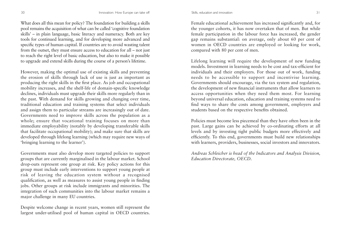#### Skills, education and innovation 31

What does all this mean for policy? The foundation for building a skills pool remains the acquisition of what can be called 'cognitive foundation skills' – in plain language, basic literacy and numeracy. Both are key tools for continued learning, and for developing more advanced and specific types of human capital. If countries are to avoid wasting talent from the outset, they must ensure access to education for all – not just to reach the right level of basic education, but also to make it possible to upgrade and extend skills during the course of a person's lifetime.

However, making the optimal use of existing skills and preventing the erosion of skills through lack of use is just as important as producing the right skills in the first place. As job and occupational mobility increases, and the shelf-life of domain-specific knowledge declines, individuals must upgrade their skills more regularly than in the past. With demand for skills growing and changing over time, traditional education and training systems that select individuals and assign them to particular streams are increasingly out of date. Governments need to improve skills across the population as a whole; ensure that vocational training focuses on more than immediate employability (notably by developing transferable skills that facilitate occupational mobility); and make sure that skills are developed through lifelong learning (which may require new ways of 'bringing learning to the learner').

Governments must also develop more targeted policies to support groups that are currently marginalised in the labour market. School drop-outs represent one group at risk. Key policy actions for this group must include early interventions to support young people at risk of leaving the education system without a recognised qualification, as well as measures to assist young people in finding jobs. Other groups at risk include immigrants and minorities. The integration of such communities into the labour market remains a major challenge in many EU countries.

Despite welcome change in recent years, women still represent the largest under-utilised pool of human capital in OECD countries. Female educational achievement has increased significantly and, for the younger cohorts, it has now overtaken that of men. But while female participation in the labour force has increased, the gender gap remains substantial: on average, only about 60 per cent of women in OECD countries are employed or looking for work, compared with 80 per cent of men.

Lifelong learning will require the development of new funding models. Investment in learning needs to be cost and tax-efficient for individuals and their employers. For those out of work, funding needs to be accessible to support and incentivise learning. Governments should encourage, via the tax system and regulation, the development of new financial instruments that allow learners to access opportunities when they need them most. For learning beyond universal education, education and training systems need to find ways to share the costs among government, employers and students based on the respective benefits obtained.

Policies must become less piecemeal than they have often been in the past. Large gains can be achieved by co-ordinating efforts at all levels and by investing tight public budgets more effectively and efficiently. To this end, governments must build new relationships with learners, providers, businesses, social investors and innovators.

*Andreas Schleicher is head of the Indicators and Analysis Division, Education Directorate, OECD.*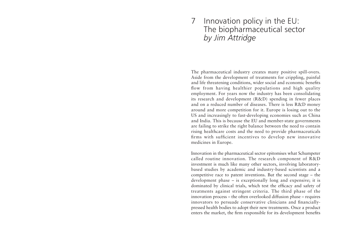## 7 Innovation policy in the EU: The biopharmaceutical sector *by Jim Attridge*

The pharmaceutical industry creates many positive spill-overs. Aside from the development of treatments for crippling, painful and life threatening conditions, wider social and economic benefits flow from having healthier populations and high quality employment. For years now the industry has been consolidating its research and development (R&D) spending in fewer places and on a reduced number of diseases. There is less R&D money around and more competition for it. Europe is losing out to the US and increasingly to fast-developing economies such as China and India. This is because the EU and member-state governments are failing to strike the right balance between the need to contain rising healthcare costs and the need to provide pharmaceuticals firms with sufficient incentives to develop new innovative medicines in Europe.

Innovation in the pharmaceutical sector epitomises what Schumpeter called routine innovation. The research component of R&D investment is much like many other sectors, involving laboratorybased studies by academic and industry-based scientists and a competitive race to patent inventions. But the second stage – the development phase – is exceptionally long and expensive; it is dominated by clinical trials, which test the efficacy and safety of treatments against stringent criteria. The third phase of the innovation process – the often overlooked diffusion phase – requires innovators to persuade conservative clinicians and financiallypressed health bodies to adopt their new treatments. Once a product enters the market, the firm responsible for its development benefits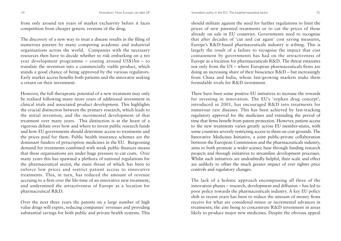from only around ten years of market exclusivity before it faces competition from cheaper generic versions of the drug.

The discovery of a new way to treat a disease results in the filing of numerous patents by many competing academic and industrial organisations across the world. Companies with the necessary resources then have to decide whether to risk embarking on a ten year development programme – costing around US\$1bn – to translate the invention into a commercially viable product, which stands a good chance of being approved by the various regulators. Early market access benefits both patients and the innovator seeking a return on their investment.

However, the full therapeutic potential of a new treatment may only be realised following many more years of additional investment in clinical trials and associated product development. This highlights the crucial distinction between the primary research, which leads to the initial invention, and the incremental development of that treatment over many years. This distinction is at the heart of a vigorous debate over how and where to invest public research funds and how EU governments should determine access to treatments and the prices paid for them. Public health insurance schemes are the dominant funders of prescription medicines in the EU. Burgeoning demand for treatments combined with weak public finances means that these organisations are under huge pressure to cut costs. Over many years this has spawned a plethora of national regulations for the pharmaceutical sector, the main thrust of which has been to enforce low prices and restrict patient access to innovative treatments. This, in turn, has reduced the amount of revenue accruing to a firm over the life-time of an innovative new treatment, and undermined the attractiveness of Europe as a location for pharmaceutical R&D.

Over the next three years the patents on a large number of high value drugs will expire, reducing companies' revenues and providing substantial savings for both public and private health systems. This should militate against the need for further regulations to limit the prices of new patented treatments or to cut the prices of those already on sale in EU countries. Governments need to recognise that after decades of 'cut and cut again' cost saving measures, Europe's R&D-based pharmaceuticals industry is wilting. This is largely the result of a failure to recognise the impact that cost containment by governments has had on the attractiveness of Europe as a location for pharmaceuticals R&D. The threat emanates not only from the US – where European pharmaceuticals firms are doing an increasing share of their bioscience R&D – but increasingly from China and India, whose fast-growing markets make them formidable rivals for R&D investment.

There have been some positive EU initiatives to increase the rewards for investing in innovation. The EU's 'orphan drug concept', introduced in 2001, has encouraged R&D into treatments for numerous rare diseases. This has been achieved by fast-tracking regulatory approval for the medicines and extending the period of time that firms benefit from patent protection. However, patient access to the new treatments varies greatly across EU member-states, with some countries severely restricting access to them on cost grounds. The Innovative Medicines Initiative, a joint public-private collaboration between the European Commission and the pharmaceuticals industry, aims to both promote a wider science base through funding research projects and through initiatives to streamline development processes. Whilst such initiatives are undoubtedly helpful, their scale and effect are unlikely to offset the much greater impact of ever tighter price controls and regulatory changes.

The lack of a holistic approach encompassing all three of the innovation phases – research, development and diffusion – has led to poor policy towards the pharmaceuticals industry. A key EU policy shift in recent years has been to reduce the amount of money firms receive for what are considered minor or incremental advances in treatments; the aim being to concentrate R&D investment in areas likely to produce major new medicines. Despite the obvious appeal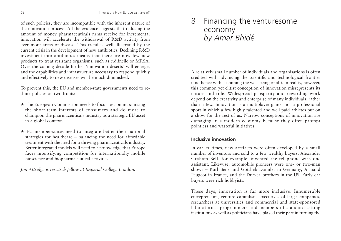of such policies, they are incompatible with the inherent nature of the innovation process. All the evidence suggests that reducing the amount of money pharmaceuticals firms receive for incremental innovation will accelerate the withdrawal of R&D activity from ever more areas of disease. This trend is well illustrated by the current crisis in the development of new antibiotics. Declining R&D investment into antibiotics means that there are now few new products to treat resistant organisms, such as c.difficile or MRSA. Over the coming decade further 'innovation deserts' will emerge, and the capabilities and infrastructure necessary to respond quickly and effectively to new diseases will be much diminished.

To prevent this, the EU and member-state governments need to rethink policies on two fronts:

- ★ The European Commission needs to focus less on maximising the short-term interests of consumers and do more to champion the pharmaceuticals industry as a strategic EU asset in a global context.
- $\star$  EU member-states need to integrate better their national strategies for healthcare – balancing the need for affordable treatment with the need for a thriving pharmaceuticals industry. Better integrated models will need to acknowledge that Europe faces intensifying competition for internationally mobile bioscience and biopharmaceutical activities.

*Jim Attridge is research fellow at Imperial College London*.

## 8 Financing the venturesome economy *by Amar Bhidé*

A relatively small number of individuals and organisations is often credited with advancing the scientific and technological frontier (and hence with sustaining the well-being of all). In reality, however, this common yet elitist conception of innovation misrepresents its nature and role. Widespread prosperity and rewarding work depend on the creativity and enterprise of many individuals, rather than a few. Innovation is a multiplayer game, not a professional sport in which a few highly talented and well paid athletes put on a show for the rest of us. Narrow conceptions of innovation are damaging in a modern economy because they often prompt pointless and wasteful initiatives.

#### **Inclusive innovation**

In earlier times, new artefacts were often developed by a small number of inventors and sold to a few wealthy buyers. Alexander Graham Bell, for example, invented the telephone with one assistant. Likewise, automobile pioneers were one- or two-man shows – Karl Benz and Gottlieb Daimler in Germany, Armand Peugeot in France, and the Duryea brothers in the US. Early car buyers were rich hobbyists.

These days, innovation is far more inclusive. Innumerable entrepreneurs, venture capitalists, executives of large companies, researchers at universities and commercial and state-sponsored laboratories, programmers and members of standard-setting institutions as well as politicians have played their part in turning the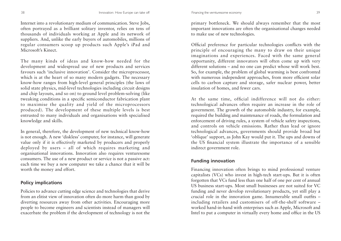Internet into a revolutionary medium of communication. Steve Jobs, often portrayed as a brilliant solitary inventor, relies on tens of thousands of individuals working at Apple and its network of suppliers. And, unlike the early buyers of automobiles, millions of regular consumers scoop up products such Apple's iPad and Microsoft's Kinect.

The many kinds of ideas and know-how needed for the development and widespread use of new products and services favours such 'inclusive innovation'. Consider the microprocessor, which is at the heart of so many modern gadgets. The necessary know-how ranges from high-level general principles (the laws of solid state physics, mid-level technologies including circuit designs and chip layouts, and so on) to ground level problem-solving (like tweaking conditions in a specific semiconductor fabrication plant to maximise the quality and yield of the microprocessors produced). The development of these multiple levels is best entrusted to many individuals and organisations with specialised knowledge and skills.

In general, therefore, the development of new technical know-how is not enough. A new 'diskless' computer, for instance, will generate value only if it is effectively marketed by producers and properly deployed by users – all of which requires marketing and organisational innovations. Innovation also requires venturesome consumers. The use of a new product or service is not a passive act: each time we buy a new computer we take a chance that it will be worth the money and effort.

#### **Policy implications**

Policies to advance cutting edge science and technologies that derive from an elitist view of innovation often do more harm than good by diverting resources away from other activities. Encouraging more people to become engineers and scientists instead of managers will exacerbate the problem if the development of technology is not the primary bottleneck. We should always remember that the most important innovations are often the organisational changes needed to make use of new technologies.

Official preference for particular technologies conflicts with the principle of encouraging the many to draw on their unique imaginations and experiences. Faced with the same general opportunity, different innovators will often come up with very different solutions – and no one can predict whose will work best. So, for example, the problem of global warming is best confronted with numerous independent approaches, from more efficient solar cells to carbon capture and storage, safer nuclear power, better insulation of homes, and fewer cars.

At the same time, official indifference will not do either: technological advances often require an increase in the role of government. The growth of the automobile industry, for example, required the building and maintenance of roads, the formulation and enforcement of driving rules, a system of vehicle safety inspections, and controls on vehicle emissions. Rather than lead or ignore technological advances, governments should provide broad but 'oblique' support, as John Kay would put it. The ups and downs of the US financial system illustrate the importance of a sensible indirect government role.

#### **Funding innovation**

Financing innovation often brings to mind professional venture capitalists (VCs) who invest in high-tech start-ups. But it is often forgotten that VCs fund less than one half of one per cent of annual US business start-ups. Most small businesses are not suited for VC funding and never develop revolutionary products, yet still play a crucial role in the innovation game. Innumerable small outfits – including retailers and customisers of off-the-shelf software – worked hand-in-hand with enterprises such as Apple, Microsoft and Intel to put a computer in virtually every home and office in the US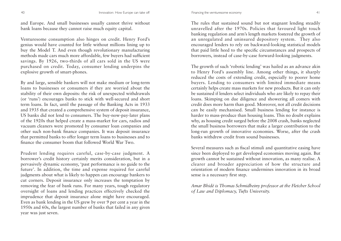and Europe. And small businesses usually cannot thrive without bank loans because they cannot raise much equity capital.

Venturesome consumption also hinges on credit. Henry Ford's genius would have counted for little without millions lining up to buy the Model T. And even though revolutionary manufacturing methods made cars much more affordable, few buyers had sufficient savings. By 1926, two-thirds of all cars sold in the US were purchased on credit. Today, consumer lending underpins the explosive growth of smart-phones.

By and large, sensible bankers will not make medium or long-term loans to businesses or consumers if they are worried about the stability of their own deposits: the risk of unexpected withdrawals (or 'runs') encourages banks to stick with well-secured and short term loans. In fact, until the passage of the Banking Acts in 1933 and 1935 that created a comprehensive system of deposit insurance, US banks did not lend to consumers. The buy-now-pay-later plans of the 1920s that helped create a mass-market for cars, radios and vacuum cleaners were promoted by consumer loan companies and other such non-bank finance companies. It was deposit insurance that permitted banks to offer longer term loans to businesses and to finance the consumer boom that followed World War Two.

Prudent lending requires careful, case-by-case judgment. A borrower's credit history certainly merits consideration, but in a pervasively dynamic economy, 'past performance is no guide to the future'. In addition, the time and expense required for careful judgments about what is likely to happen can encourage bankers to cut corners. Deposit insurance only increases the temptation by removing the fear of bank runs. For many years, tough regulatory oversight of loans and lending practices effectively checked the imprudence that deposit insurance alone might have encouraged. Even as bank lending in the US grew by over 9 per cent a year in the 1950s and 60s, the largest number of banks that failed in any given year was just seven.

The rules that sustained sound but not stagnant lending steadily unravelled after the 1970s. Policies that favoured light touch banking regulation and arm's length markets fostered the growth of an unregulated and uninsured depository system. They also encouraged lenders to rely on backward-looking statistical models that paid little heed to the specific circumstances and prospects of borrowers, instead of case-by-case forward-looking judgments.

The growth of such 'robotic lending' was hailed as an advance akin to Henry Ford's assembly line. Among other things, it sharply reduced the costs of extending credit, especially to poorer home buyers. Lending to consumers with limited immediate means certainly helps create mass markets for new products. But it can only be sustained if lenders select individuals who are likely to repay their loans. Skimping on due diligence and showering all comers with credit does more harm than good. Moreover, not all credit decisions can be easily mechanised. Small business lending for instance is harder to mass-produce than housing loans. This no doubt explains why, as housing credit surged before the 2008 crash, banks neglected the small business borrowers that make a larger contribution to the long-run growth of innovative economies. Worse, after the crash banks withdrew credit from sound businesses.

Several measures such as fiscal stimuli and quantitative easing have since been deployed to get developed economies moving again. But growth cannot be sustained without innovation, as many realise. A clearer and broader appreciation of how the structure and orientation of modern finance undermines innovation in its broad sense is a necessary first step.

*Amar Bhidé is Thomas Schmidheiny professor at the Fletcher School of Law and Diplomacy, Tufts University.*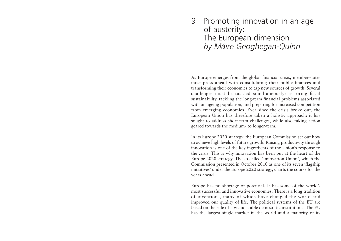## 9 Promoting innovation in an age of austerity: The European dimension *by Máire Geoghegan-Quinn*

As Europe emerges from the global financial crisis, member-states must press ahead with consolidating their public finances and transforming their economies to tap new sources of growth. Several challenges must be tackled simultaneously: restoring fiscal sustainability, tackling the long-term financial problems associated with an ageing population, and preparing for increased competition from emerging economies. Ever since the crisis broke out, the European Union has therefore taken a holistic approach: it has sought to address short-term challenges, while also taking action geared towards the medium- to longer-term.

In its Europe 2020 strategy, the European Commission set out how to achieve high levels of future growth. Raising productivity through innovation is one of the key ingredients of the Union's response to the crisis. This is why innovation has been put at the heart of the Europe 2020 strategy. The so-called 'Innovation Union', which the Commission presented in October 2010 as one of its seven 'flagship initiatives' under the Europe 2020 strategy, charts the course for the years ahead.

Europe has no shortage of potential. It has some of the world's most successful and innovative economies. There is a long tradition of inventions, many of which have changed the world and improved our quality of life. The political systems of the EU are based on the rule of law and stable democratic institutions. The EU has the largest single market in the world and a majority of its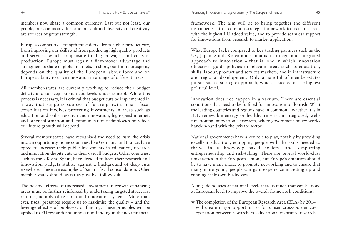members now share a common currency. Last but not least, our people, our common values and our cultural diversity and creativity are sources of great strength.

Europe's competitive strength must derive from higher productivity, from improving our skills and from producing high quality products and services, which compensate for higher wages and costs of production. Europe must regain a first-mover advantage and strengthen its share of global markets. In short, our future prosperity depends on the quality of the European labour force and on Europe's ability to drive innovation in a range of different areas.

All member-states are currently working to reduce their budget deficits and to keep public debt levels under control. While this process is necessary, it is critical that budget cuts be implemented in a way that supports sources of future growth. Smart fiscal consolidation involves protecting investments in areas such as education and skills, research and innovation, high-speed internet, and other information and communication technologies on which our future growth will depend.

Several member-states have recognised the need to turn the crisis into an opportunity. Some countries, like Germany and France, have opted to increase their public investments in education, research and innovation despite cuts to their overall budgets. Other countries, such as the UK and Spain, have decided to keep their research and innovation budgets stable, against a background of deep cuts elsewhere. These are examples of 'smart' fiscal consolidation. Other member-states should, as far as possible, follow suit.

The positive effects of (increased) investment in growth-enhancing areas must be further reinforced by undertaking targeted structural reforms, notably of research and innovation systems. More than ever, fiscal pressures require us to maximise the quality – and the leverage effect – of public-sector funding. These principles will be applied to EU research and innovation funding in the next financial framework. The aim will be to bring together the different instruments into a common strategic framework to focus on areas with the highest EU added value, and to provide seamless support for innovations from research to market application.

What Europe lacks compared to key trading partners such as the US, Japan, South Korea and China is a strategic and integrated approach to innovation – that is, one in which innovation objectives guide policies in relevant areas such as education, skills, labour, product and services markets, and in infrastructure and regional development. Only a handful of member-states pursue such a strategic approach, which is steered at the highest political level.

Innovation does not happen in a vacuum. There are essential conditions that need to be fulfilled for innovation to flourish. What the leading countries and regions have in common – whether it is in ICT, renewable energy or healthcare – is an integrated, wellfunctioning innovation ecosystem, where government policy works hand-in-hand with the private sector.

National governments have a key role to play, notably by providing excellent education, equipping people with the skills needed to thrive in a knowledge-based society, and supporting entrepreneurship and risk-taking. There are several world-class universities in the European Union, but Europe's ambition should be to have many more, to promote networking and to ensure that many more young people can gain experience in setting up and running their own businesses.

Alongside policies at national level, there is much that can be done at European level to improve the overall framework conditions:

★ The completion of the European Research Area (ERA) by 2014 will create major opportunities for closer cross-border cooperation between researchers, educational institutes, research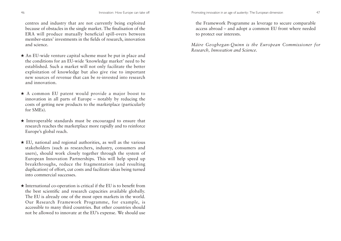centres and industry that are not currently being exploited because of obstacles in the single market. The finalisation of the ERA will produce mutually beneficial spill-overs between member-states' investments in the fields of research, innovation and science.

- ★ An EU-wide venture capital scheme must be put in place and the conditions for an EU-wide 'knowledge market' need to be established. Such a market will not only facilitate the better exploitation of knowledge but also give rise to important new sources of revenue that can be re-invested into research and innovation.
- ★ A common EU patent would provide a major boost to innovation in all parts of Europe – notably by reducing the costs of getting new products to the marketplace (particularly for SMEs).
- ★ Interoperable standards must be encouraged to ensure that research reaches the marketplace more rapidly and to reinforce Europe's global reach.
- $\star$  EU, national and regional authorities, as well as the various stakeholders (such as researchers, industry, consumers and users), should work closely together through the system of European Innovation Partnerships. This will help speed up breakthroughs, reduce the fragmentation (and resulting duplication) of effort, cut costs and facilitate ideas being turned into commercial successes.
- ★ International co-operation is critical if the EU is to benefit from the best scientific and research capacities available globally. The EU is already one of the most open markets in the world. Our Research Framework Programme, for example, is accessible to many third countries. But other countries should not be allowed to innovate at the EU's expense. We should use

the Framework Programme as leverage to secure comparable access abroad – and adopt a common EU front where needed to protect our interests.

*Máire Geoghegan-Quinn is the European Commissioner for Research, Innovation and Science.*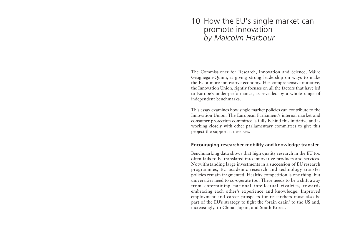## 10 How the EU's single market can promote innovation *by Malcolm Harbour*

The Commissioner for Research, Innovation and Science, Máire Geoghegan-Quinn, is giving strong leadership on ways to make the EU a more innovative economy. Her comprehensive initiative, the Innovation Union, rightly focuses on all the factors that have led to Europe's under-performance, as revealed by a whole range of independent benchmarks.

This essay examines how single market policies can contribute to the Innovation Union. The European Parliament's internal market and consumer protection committee is fully behind this initiative and is working closely with other parliamentary committees to give this project the support it deserves.

#### **Encouraging researcher mobility and knowledge transfer**

Benchmarking data shows that high quality research in the EU too often fails to be translated into innovative products and services. Notwithstanding large investments in a succession of EU research programmes, EU academic research and technology transfer policies remain fragmented. Healthy competition is one thing, but universities need to co-operate too. There needs to be a shift away from entertaining national intellectual rivalries, towards embracing each other's experience and knowledge. Improved employment and career prospects for researchers must also be part of the EU's strategy to fight the 'brain drain' to the US and, increasingly, to China, Japan, and South Korea.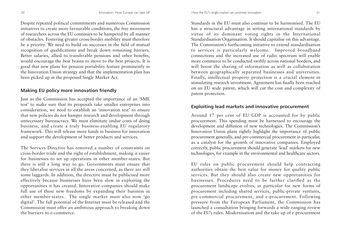Despite repeated political commitments and numerous Commission initiatives to create more favourable conditions, the free movement of researchers across the EU continues to be hampered by all manner of obstacles. Fostering greater cross-border mobility must therefore be a priority. We need to build on successes in the field of mutual recognition of qualifications and break down remaining barriers. Better salaries, allied to transferable pensions and other benefits, would encourage the best brains to move to the best projects. It is good that new plans for pension portability feature prominently in the Innovation Union strategy and that the implementation plan has been picked up in the proposed Single Market Act.

#### **Making EU policy more innovation friendly**

Just as the Commission has accepted the importance of an 'SME test' to make sure that its proposals take smaller enterprises into consideration, we need to establish an 'innovation test' to ensure that new policies do not hamper research and development through unnecessary bureaucracy. We must eliminate undue costs of doing business, and create a truly business-enabling EU regulatory framework. This will release more funds in business for innovation and support the development of better products and services.

The Services Directive has removed a number of constraints on cross-border trade and the right of establishment, making it easier for businesses to set up operations in other member-states. But there is still a long way to go. Governments must ensure that they liberalise services in all the areas concerned, as there are still some laggards. In addition, the directive must be publicised more effectively because businesses have been slow in exploiting the opportunities it has created. Innovative companies should make full use of these new freedoms by expanding their business in other member-states. The single market must also now 'go digital'. The full potential of the Internet must be released and the Commission must offer an ambitious approach to breaking down the barriers to e-commerce.

Standards in the EU must also continue to be harmonised. The EU has a structural advantage in setting international standards by virtue of its dominant voting rights in the International Standardisation Organisation. It should capitalise on this advantage. The Commission's forthcoming initiative to extend standardisation to services is particularly welcome. Improved broadband connections and the increased use of radio spectrum will enable more commerce to be conducted swiftly across national borders, and will boost the sharing of information as well as collaboration between geographically separated businesses and universities. Finally, intellectual property protection is a crucial element in stimulating research investment. Agreement has finally been reached on an EU wide patent, which will cut the cost and complexity of patent protection.

#### **Exploiting lead markets and innovative procurement**

Around 17 per cent of EU GDP is accounted for by public procurement. This spending must be harnessed to encourage the development and diffusion of new technologies. The Commission's Innovation Union plans rightly highlight the importance of public procurement generally, and pre-commercial procurement in particular, as a catalyst for the growth of innovative companies. Employed correctly, public procurement should generate 'lead' markets for new technologies, for example in the environmental and healthcare sectors.

EU rules on public procurement should help contracting authorities obtain the best value for money for quality public services. But they should also create new opportunities for businesses. Procedures need to be further clarified as the procurement landscape evolves, in particular for new forms of procurement including shared services, public-private ventures, pre-commercial procurement, and e-procurement. Following pressure from the European Parliament, the Commission has launched a consultation bringing forwards a wide-ranging review of the EU's rules. Modernisation and the take up of e-procurement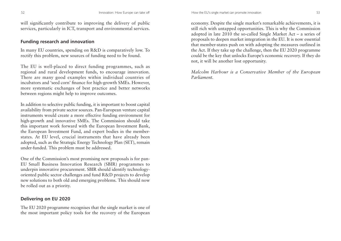will significantly contribute to improving the delivery of public services, particularly in ICT, transport and environmental services.

#### **Funding research and innovation**

In many EU countries, spending on R&D is comparatively low. To rectify this problem, new sources of funding need to be found.

The EU is well-placed to direct funding programmes, such as regional and rural development funds, to encourage innovation. There are many good examples within individual countries of incubators and 'seed corn' finance for high-growth SMEs. However, more systematic exchanges of best practice and better networks between regions might help to improve outcomes.

In addition to selective public funding, it is important to boost capital availability from private sector sources. Pan-European venture capital instruments would create a more effective funding environment for high-growth and innovative SMEs. The Commission should take this important work forward with the European Investment Bank, the European Investment Fund, and expert bodies in the memberstates. At EU level, crucial instruments that have already been adopted, such as the Strategic Energy Technology Plan (SET), remain under-funded. This problem must be addressed.

One of the Commission's most promising new proposals is for pan-EU Small Business Innovation Research (SBIR) programmes to underpin innovative procurement. SBIR should identify technologyoriented public sector challenges and fund R&D projects to develop new solutions to both old and emerging problems. This should now be rolled out as a priority.

#### **Delivering on EU 2020**

The EU 2020 programme recognises that the single market is one of the most important policy tools for the recovery of the European

economy. Despite the single market's remarkable achievements, it is still rich with untapped opportunities. This is why the Commission adopted in late 2010 the so-called Single Market Act – a series of proposals to deepen market integration in the EU. It is now essential that member-states push on with adopting the measures outlined in the Act. If they take up the challenge, then the EU 2020 programme could be the key that unlocks Europe's economic recovery. If they do not, it will be another lost opportunity.

*Malcolm Harbour is a Conservative Member of the European Parliament.*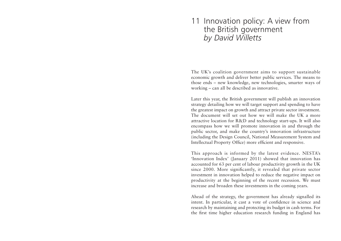## 11 Innovation policy: A view from the British government *by David Willetts*

The UK's coalition government aims to support sustainable economic growth and deliver better public services. The means to those ends – new knowledge, new technologies, smarter ways of working – can all be described as innovative.

Later this year, the British government will publish an innovation strategy detailing how we will target support and spending to have the greatest impact on growth and attract private sector investment. The document will set out how we will make the UK a more attractive location for R&D and technology start-ups. It will also encompass how we will promote innovation in and through the public sector, and make the country's innovation infrastructure (including the Design Council, National Measurement System and Intellectual Property Office) more efficient and responsive.

This approach is informed by the latest evidence. NESTA's 'Innovation Index' (January 2011) showed that innovation has accounted for 63 per cent of labour productivity growth in the UK since 2000. More significantly, it revealed that private sector investment in innovation helped to reduce the negative impact on productivity at the beginning of the recent recession. We must increase and broaden these investments in the coming years.

Ahead of the strategy, the government has already signalled its intent. In particular, it cast a vote of confidence in science and research by maintaining and protecting its budget in cash terms. For the first time higher education research funding in England has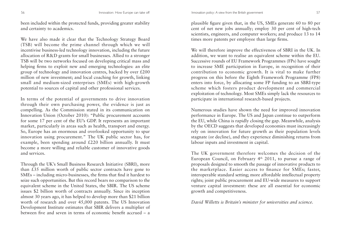been included within the protected funds, providing greater stability and certainty to academics.

We have also made it clear that the Technology Strategy Board (TSB) will become the prime channel through which we will incentivise business-led technology innovation, including the future allocation of R&D grants for small businesses. Allied to a stronger TSB will be two networks focused on developing critical mass and helping firms to exploit new and emerging technologies: an elite group of technology and innovation centres, backed by over £200 million of new investment; and local coaching for growth, linking small and medium-sized enterprises (SMEs) with high-growth potential to sources of capital and other professional services.

In terms of the potential of governments to drive innovation through their own purchasing power, the evidence is just as compelling. As the Commission stated in its communication on Innovation Union (October 2010): "Public procurement accounts for some 17 per cent of the EU's GDP. It represents an important market, particularly in areas such as health, transport and energy. So, Europe has an enormous and overlooked opportunity to spur innovation using procurement." The UK public sector has, for example, been spending around £220 billion annually. It must become a more willing and reliable customer of innovative goods and services.

Through the UK's Small Business Research Initiative (SBRI), more than £35 million worth of public sector contracts have gone to SMEs – including micro-businesses, the firms that find it hardest to seize such opportunities. But this record bears no comparison to the equivalent scheme in the United States, the SBIR. The US scheme issues \$2 billion worth of contracts annually. Since its inception almost 30 years ago, it has helped to develop more than \$21 billion worth of research and over 45,000 patents. The US Innovation Development Institute estimates that SBIR delivers a multiplier of between five and seven in terms of economic benefit accrued – a

plausible figure given that, in the US, SMEs generate 60 to 80 per cent of net new jobs annually; employ 30 per cent of high-tech scientists, engineers, and computer workers; and produce 13 to 14 times more patents per employee than large firms.

We will therefore improve the effectiveness of SBRI in the UK. In addition, we want to realise an equivalent scheme within the EU. Successive rounds of EU Framework Programmes (FPs) have sought to increase SME participation in Europe, in recognition of their contribution to economic growth. It is vital to make further progress on this before the Eighth Framework Programme (FP8) enters into force, by allocating some FP funding to an SBRI-type scheme which fosters product development and commercial exploitation of technology. Most SMEs simply lack the resources to participate in international research-based projects.

Numerous studies have shown the need for improved innovation performance in Europe. The US and Japan continue to outperform the EU, while China is rapidly closing the gap. Meanwhile, analysis by the OECD suggests that developed economies must increasingly rely on innovation for future growth as their population levels stagnate (or decline), and they experience diminishing returns from labour inputs and investment in capital.

The UK government therefore welcomes the decision of the European Council, on February 4th 2011, to pursue a range of proposals designed to smooth the passage of innovative products to the marketplace. Easier access to finance for SMEs; faster, interoperable standard setting; more affordable intellectual property rights; joint public procurement and EU-wide measures to support venture capital investment: these are all essential for economic growth and competitiveness.

*David Willetts is Britain's minister for universities and science.*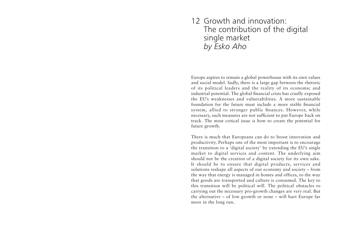## 12 Growth and innovation: The contribution of the digital single market *by Esko Aho*

Europe aspires to remain a global powerhouse with its own values and social model. Sadly, there is a large gap between the rhetoric of its political leaders and the reality of its economic and industrial potential. The global financial crisis has cruelly exposed the EU's weaknesses and vulnerabilities. A more sustainable foundation for the future must include a more stable financial system, allied to stronger public finances. However, while necessary, such measures are not sufficient to put Europe back on track. The most critical issue is how to create the potential for future growth.

There is much that Europeans can do to boost innovation and productivity. Perhaps one of the most important is to encourage the transition to a 'digital society' by extending the EU's single market to digital services and content. The underlying aim should not be the creation of a digital society for its own sake. It should be to ensure that digital products, services and solutions reshape all aspects of our economy and society – from the way that energy is managed in homes and offices, to the way that goods are transported and culture is consumed. The key to this transition will be political will. The political obstacles to carrying out the necessary pro-growth changes are very real. But the alternative – of low growth or none – will hurt Europe far more in the long run.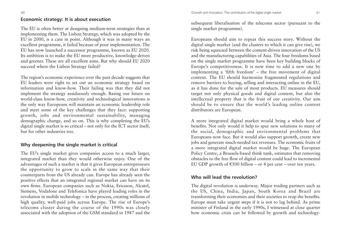#### **Economic strategy: It is about execution**

The EU is often better at designing medium-term strategies than at implementing them. The Lisbon Strategy, which was adopted by the EU in 2000, is a case in point. Although it was in many ways an excellent programme, it failed because of poor implementation. The EU has now launched a successor programme, known as EU 2020. Its ambition is to make the EU more productive, knowledge-driven and greener. These are all excellent aims. But why should EU 2020 succeed where the Lisbon Strategy failed?

The region's economic experience over the past decade suggests that EU leaders were right to set out an economic strategy based on information and know-how. Their failing was that they did not implement the strategy assiduously enough. Basing our future on world-class know-how, creativity and technological innovations is the only way Europeans will maintain an economic leadership role and meet some of the key challenges that they face: supporting growth, jobs and environmental sustainability, managing demographic change, and so on. This is why completing the EU's digital single market is so critical – not only for the ICT sector itself, but for other industries too.

#### **Why deepening the single market is critical**

The EU's single market gives companies access to a much larger, integrated market than they would otherwise enjoy. One of the advantages of such a market is that it gives European entrepreneurs the opportunity to grow to scale in the same way that their counterparts from the US already can. Europe has already seen the positive effects that an integrated regional market can have on its own firms. European companies such as Nokia, Ericsson, Alcatel, Siemens, Vodafone and Telefonica have played leading roles in the revolution in mobile technology – in the process, creating millions of high quality, well-paid jobs across Europe. The rise of Europe's telecoms cluster during the course of the 1990s was closely associated with the adoption of the GSM standard in 1987 and the subsequent liberalisation of the telecoms sector (pursuant to the single market programme).

Europeans should aim to repeat this success story. Without the digital single market (and the clusters to which it can give rise), we risk being squeezed between the content-driven innovation of the US and the manufacturing capabilities of Asia. The four freedoms based on the single market programme have been key building blocks of Europe's competitiveness. It is now time to add a new one by implementing a 'fifth freedom' – the free movement of digital content. The EU should harmonise fragmented regulations and remove barriers to buying, selling and interacting online in the EU, as it has done for the sale of most products. EU measures should target not only physical goods and digital content, but also the intellectual property that is the fruit of our creativity. Our aim should be to ensure that the world's leading online content distributors are European.

A more integrated digital market would bring a whole host of benefits. Not only would it help to spur new solutions to many of the social, demographic and environmental problems that Europeans now face. But it would also support growth, create new jobs and generate much-needed tax revenues. The economic fruits of a more integrated digital market would be huge. The European Policy Centre, a Brussels-based think tank, estimates that removing obstacles to the free flow of digital content could lead to incremental EU GDP growth of  $\epsilon$ 500 billion – or 4 per cent – over ten years.

#### **Who will lead the revolution?**

The digital revolution is underway. Major trading partners such as the US, China, India, Japan, South Korea and Brazil are transforming their economies and their societies to reap the benefits. Europe must take urgent steps if it is not to lag behind. As prime minister of Finland in the early 1990s, I witnessed at close quarter how economic crisis can be followed by growth and technology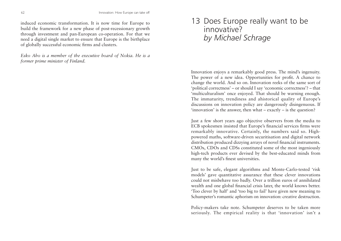induced economic transformation. It is now time for Europe to build the framework for a new phase of post-recessionary growth through investment and pan-European co-operation. For that we need a digital single market to ensure that Europe is the birthplace of globally successful economic firms and clusters.

*Esko Aho is a member of the executive board of Nokia. He is a former prime minister of Finland.*

## 13 Does Europe really want to be innovative? *by Michael Schrage*

Innovation enjoys a remarkably good press. The mind's ingenuity. The power of a new idea. Opportunities for profit. A chance to change the world. And so on. Innovation reeks of the same sort of 'political correctness' – or should I say 'economic correctness'? – that 'multiculturalism' once enjoyed. That should be warning enough. The immaturity, trendiness and ahistorical quality of Europe's discussions on innovation policy are dangerously disingenuous. If 'innovation' is the answer, then what – exactly – is the question?

Just a few short years ago objective observers from the media to ECB spokesmen insisted that Europe's financial services firms were remarkably innovative. Certainly, the numbers said so. Highpowered maths, software-driven securitisation and digital network distribution produced dizzying arrays of novel financial instruments. CMOs, CDOs and CDSs constituted some of the most ingeniously high-tech products ever devised by the best-educated minds from many the world's finest universities.

Just to be safe, elegant algorithms and Monte-Carlo-tested 'risk models' gave quantitative assurance that these clever innovations could not misbehave too badly. Over a trillion euros of annihilated wealth and one global financial crisis later, the world knows better. 'Too clever by half' and 'too big to fail' have given new meaning to Schumpeter's romantic aphorism on innovation: creative destruction.

Policy-makers take note. Schumpeter deserves to be taken more seriously. The empirical reality is that 'innovation' isn't a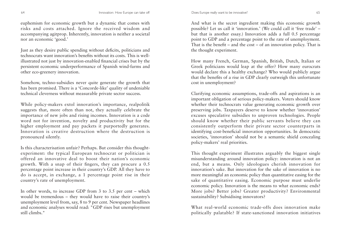euphemism for economic growth but a dynamic that comes with risks and costs attached. Ignore the received wisdom and accompanying agitprop. Inherently, innovation is neither a societal nor an economic 'good.'

Just as they desire public spending without deficits, politicians and technocrats want innovation's benefits without its costs. This is wellillustrated not just by innovation-enabled financial crises but by the persistent economic underperformance of Spanish wind-farms and other eco-greenery innovation.

Somehow, techno-subsidies never quite generate the growth that has been promised. There is a 'Concorde-like' quality of undeniable technical cleverness without measurable private sector success.

While policy-makers extol innovation's importance, realpolitik suggests that, more often than not, they actually celebrate the importance of new jobs and rising incomes. Innovation is a code word not for invention, novelty and productivity but for the higher employment and pay packets it purportedly generates. Innovation is creative destruction where the destruction is pronounced silently.

Is this characterisation unfair? Perhaps. But consider this thoughtexperiment: the typical European technocrat or politician is offered an innovative deal to boost their nation's economic growth. With a snap of their fingers, they can procure a 0.5 percentage point increase in their country's GDP. All they have to do is accept, in exchange, a 1 percentage point rise in their country's rate of unemployment.

In other words, to increase GDP from 3 to 3.5 per cent – which would be tremendous – they would have to raise their country's unemployment level from, say, 8 to 9 per cent. Newspaper headlines and economic analyses would read: "GDP rises but unemployment still climbs."

And what is the secret ingredient making this economic growth possible? Let us call it 'innovation.' (We could call it 'free trade' – but that is another essay.) Innovation adds a full 0.5 percentage point to GDP and a percentage point to the rate of unemployment. That is the benefit – and the cost – of an innovation policy. That is the thought experiment.

How many French, German, Spanish, British, Dutch, Italian or Greek politicians would leap at the offer? How many eurocrats would declare this a healthy exchange? Who would publicly argue that the benefits of a rise in GDP clearly outweigh this unfortunate cost in unemployment?

Clarifying economic assumptions, trade-offs and aspirations is an important obligation of serious policy-makers. Voters should know whether their technocrats value generating economic growth over preserving jobs. Taxpayers deserve to know whether 'innovation' excuses speculative subsidies to unproven technologies. People should know whether their public servants believe they can consistently outperform their private sector counterparts in identifying cost-beneficial innovation opportunities. In democratic societies, 'innovation' should not be a semantic shield concealing policy-makers' real priorities.

This thought experiment illustrates arguably the biggest single misunderstanding around innovation policy: innovation is not an end, but a means. Only ideologues cherish innovation for innovation's sake. But innovation for the sake of innovation is no more meaningful an economic policy than quantitative easing for the sake of quantitative easing. Economic purpose must underlie economic policy. Innovation is the means to what economic ends? More jobs? Better jobs? Greater productivity? Environmental sustainability? Subsidising innovators?

What real-world economic trade-offs does innovation make politically palatable? If state-sanctioned innovation initiatives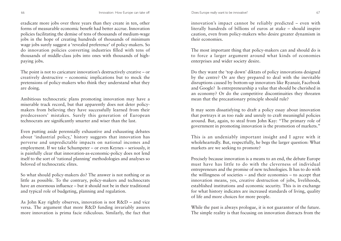#### Does Europe really want to be innovative? Contained the state of the state of the state of the state of the state of the state of the state of the state of the state of the state of the state of the state of the state of t

eradicate more jobs over three years than they create in ten, other forms of measurable economic benefit had better accrue. Innovation policies facilitating the demise of tens of thousands of medium-wage jobs in the hope of creating hundreds of thousands of minimum wage jobs surely suggest a 'revealed preference' of policy-makers. So do innovation policies converting industries filled with tens of thousands of middle-class jobs into ones with thousands of highpaying jobs.

The point is not to caricature innovation's destructively creative – or creatively destructive – economic implications but to mock the pretensions of policy-makers who think they understand what they are doing.

Ambitious technocratic plans promoting innovation may have a miserable track record, but that apparently does not deter policymakers from believing they have successfully learned from their predecessors' mistakes. Surely this generation of European technocrats are significantly smarter and wiser than the last.

Even putting aside perennially exhaustive and exhausting debates about 'industrial policy,' history suggests that innovation has perverse and unpredictable impacts on national incomes and employment. If we take Schumpeter – or even Keynes – seriously, it is painfully clear that innovation-as-economic-policy does not lend itself to the sort of 'rational planning' methodologies and analyses so beloved of technocratic elites.

So what should policy-makers do? The answer is not nothing or as little as possible. To the contrary, policy-makers and technocrats have an enormous influence – but it should not be in their traditional and typical role of budgeting, planning and regulation.

As John Kay rightly observes, innovation is not R&D – and vice versa. The argument that more R&D funding invariably assures more innovation is prima facie ridiculous. Similarly, the fact that innovation's impact cannot be reliably predicted – even with literally hundreds of billions of euros at stake – should inspire caution, even from policy-makers who desire greater dynamism in their economies.

The most important thing that policy-makers can and should do is to force a larger argument around what kinds of economies enterprises and wider society desire.

Do they want the 'top down' diktats of policy innovations designed by the centre? Or are they prepared to deal with the inevitable disruptions caused by bottom-up innovators like Ryanair, Facebook and Google? Is entrepreneurship a value that should be cherished in an economy? Or do the competitive discontinuities they threaten mean that the precautionary principle should rule?

It may seem dissatisfying to draft a policy essay about innovation that portrays it as too rude and unruly to craft meaningful policies around. But, again, to steal from John Kay: "The primary role of government in promoting innovation is the promotion of markets."

This is an undeniably important insight and I agree with it wholeheartedly. But, respectfully, he begs the larger question: What markets are we seeking to promote?

Precisely because innovation is a means to an end, the debate Europe must have has little to do with the cleverness of individual entrepreneurs and the promise of new technologies. It has to do with the willingness of societies – and their economies – to accept that innovation means, yes, creative destruction of jobs, livelihoods, established institutions and economic security. This is in exchange for what history indicates are increased standards of living, quality of life and more choices for more people.

While the past is always prologue, it is not guarantor of the future. The simple reality is that focusing on innovation distracts from the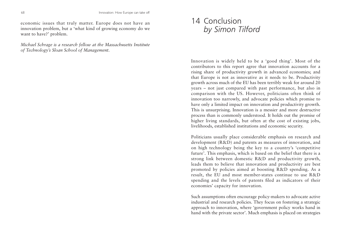economic issues that truly matter. Europe does not have an innovation problem, but a 'what kind of growing economy do we want to have?' problem.

*Michael Schrage is a research fellow at the Massachusetts Institute of Technology's Sloan School of Management*.

## 14 Conclusion *by Simon Tilford*

Innovation is widely held to be a 'good thing'. Most of the contributors to this report agree that innovation accounts for a rising share of productivity growth in advanced economies; and that Europe is not as innovative as it needs to be. Productivity growth across much of the EU has been terribly weak for around 20 years – not just compared with past performance, but also in comparison with the US. However, politicians often think of innovation too narrowly, and advocate policies which promise to have only a limited impact on innovation and productivity growth. This is unsurprising. Innovation is a messier and more destructive process than is commonly understood. It holds out the promise of higher living standards, but often at the cost of existing jobs, livelihoods, established institutions and economic security.

Politicians usually place considerable emphasis on research and development (R&D) and patents as measures of innovation, and on high technology being the key to a country's 'competitive future'. This emphasis, which is based on the belief that there is a strong link between domestic R&D and productivity growth, leads them to believe that innovation and productivity are best promoted by policies aimed at boosting R&D spending. As a result, the EU and most member-states continue to use R&D spending and the levels of patents filed as indicators of their economies' capacity for innovation.

Such assumptions often encourage policy-makers to advocate active industrial and research policies. They focus on fostering a strategic approach to innovation, where 'government policy works hand in hand with the private sector'. Much emphasis is placed on strategies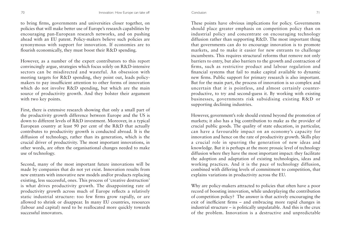#### Conclusion 71

to bring firms, governments and universities closer together, on policies that will make better use of Europe's research capabilities by encouraging pan-European research networks, and on pushing ahead with an EU patent. Policy-makers believe such policies are synonymous with support for innovation. If economies are to flourish economically, they must boost their R&D spending.

However, as a number of the expert contributors to this report convincingly argue, strategies which focus solely on R&D-intensive sectors can be misdirected and wasteful. An obsession with meeting targets for R&D spending, they point out, leads policymakers to pay insufficient attention to other forms of innovation which do not involve R&D spending, but which are the main source of productivity growth. And they bolster their argument with two key points.

First, there is extensive research showing that only a small part of the productivity growth difference between Europe and the US is down to different levels of R&D investment. Moreover, in a typical European country at least 90 per cent of the R&D that actually contributes to productivity growth is conducted abroad. It is the diffusion of technology, rather than its generation, which is the crucial driver of productivity. The most important innovations, in other words, are often the organisational changes needed to make use of technology.

Second, many of the most important future innovations will be made by companies that do not yet exist. Innovation results from new entrants with innovative new models and/or products replacing existing, less successful, ones. This process of 'creative destruction' is what drives productivity growth. The disappointing rate of productivity growth across much of Europe reflects a relatively static industrial structure: too few firms grow rapidly, or are allowed to shrink or disappear. In many EU countries, resources (labour and capital) need to be reallocated more quickly towards successful innovators.

These points have obvious implications for policy. Governments should place greater emphasis on competition policy than on industrial policy and concentrate on encouraging technology diffusion rather than supporting R&D. The most important thing that governments can do to encourage innovation is to promote markets, and to make it easier for new entrants to challenge incumbents. This requires structural reforms that remove not only barriers to entry, but also barriers to the growth and contraction of firms, such as restrictive product and labour regulation and financial systems that fail to make capital available to dynamic new firms. Public support for primary research is also important. But for the main part, the process of innovation is so complex and uncertain that it is pointless, and almost certainly counterproductive, to try and second-guess it. By working with existing businesses, governments risk subsidising existing R&D or supporting declining industries.

However, government's role should extend beyond the promotion of markets; it also has a big contribution to make as the provider of crucial public goods. The quality of state education, in particular, can have a favourable impact on an economy's capacity for innovation and hence on the rate of productivity growth. Skills play a crucial role in spurring the generation of new ideas and knowledge. But it is perhaps at the more prosaic level of technology diffusion where they have the most important impact: they facilitate the adoption and adaptation of existing technologies, ideas and working practices. And it is the pace of technology diffusion, combined with differing levels of commitment to competition, that explains variations in productivity across the EU.

Why are policy-makers attracted to policies that often have a poor record of boosting innovation, while underplaying the contribution of competition policy? The answer is that actively encouraging the exit of inefficient firms – and embracing more rapid changes in industrial structure – is politically unpalatable. And this is the crux of the problem. Innovation is a destructive and unpredictable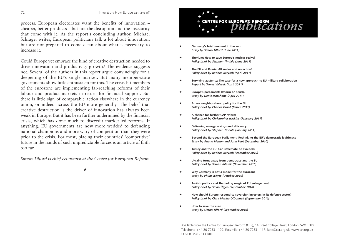process. European electorates want the benefits of innovation – cheaper, better products – but not the disruption and the insecurity that come with it. As the report's concluding author, Michael Schrage, writes, European politicians talk a lot about innovation, but are not prepared to come clean about what is necessary to increase it.

Could Europe yet embrace the kind of creative destruction needed to drive innovation and productivity growth? The evidence suggests not. Several of the authors in this report argue convincingly for a deepening of the EU's single market. But many member-state governments show little enthusiasm for this. The crisis-hit members of the eurozone are implementing far-reaching reforms of their labour and product markets in return for financial support. But there is little sign of comparable action elsewhere in the currency union, or indeed across the EU more generally. The belief that creative destruction is the driver of innovation has always been weak in Europe. But it has been further undermined by the financial crisis, which has done much to discredit market-led reforms. If anything, EU governments are now more wedded to defending national champions and more wary of competition than they were prior to the crisis. For most, placing their countries' 'competitive' future in the hands of such unpredictable forces is an article of faith too far.

*Simon Tilford is chief economist at the Centre for European Reform.*

★

# **EENTRE FOR EUROPEAN REFORM**<br>\* \* \* DUDICations

- ★ **Germany's brief moment in the sun**  *Essay by Simon Tilford (June 2011)*
- ★ **Thorium: How to save Europe's nuclear revival**  *Policy brief by Stephen Tindale (June 2011)*
- ★ **The EU and Russia: All smiles and no action?**  *Policy brief by Katinka Barysch (April 2011)*
- ★ **Surviving austerity: The case for a new approach to EU military collaboration**  *Report by Tomas Valasek (April 2011)*
- ★ **Europe's parliament: Reform or perish?**  *Essay by Denis MacShane (April 2011)*
- ★ **A new neighbourhood policy for the EU**  *Policy brief by Charles Grant (March 2011)*
- ★ **A chance for further CAP reform**  *Policy brief by Christopher Haskins (February 2011)*
- ★ **Delivering energy savings and efficiency**  *Policy brief by Stephen Tindale (January 2011)*
- ★ **Beyond the European Parliament: Rethinking the EU's democratic legitimacy**  *Essay by Anand Menon and John Peet (December 2010)*
- ★ **Turkey and the EU: Can stalemate be avoided?**  *Policy brief by Katinka Barysch (December 2010)*
- ★ **Ukraine turns away from democracy and the EU**  *Policy brief by Tomas Valasek (November 2010)*
- ★ **Why Germany is not a model for the eurozone**  *Essay by Philip Whyte (October 2010)*
- ★ **Turkish politics and the fading magic of EU enlargement**  *Policy brief by Sinan Ülgen (September 2010)*
- ★ **How should Europe respond to sovereign investors in its defence sector?** *Policy brief by Clara Marina O'Donnell (September 2010)*
- ★ **How to save the euro**  *Essay by Simon Tilford (September 2010)*

Available from the Centre for European Reform (CER), 14 Great College Street, London, SW1P 3RX Telephone +44 20 7233 1199, Facsimile +44 20 7233 1117, kate@cer.org.uk, www.cer.org.uk COVER IMAGE: CORBIS